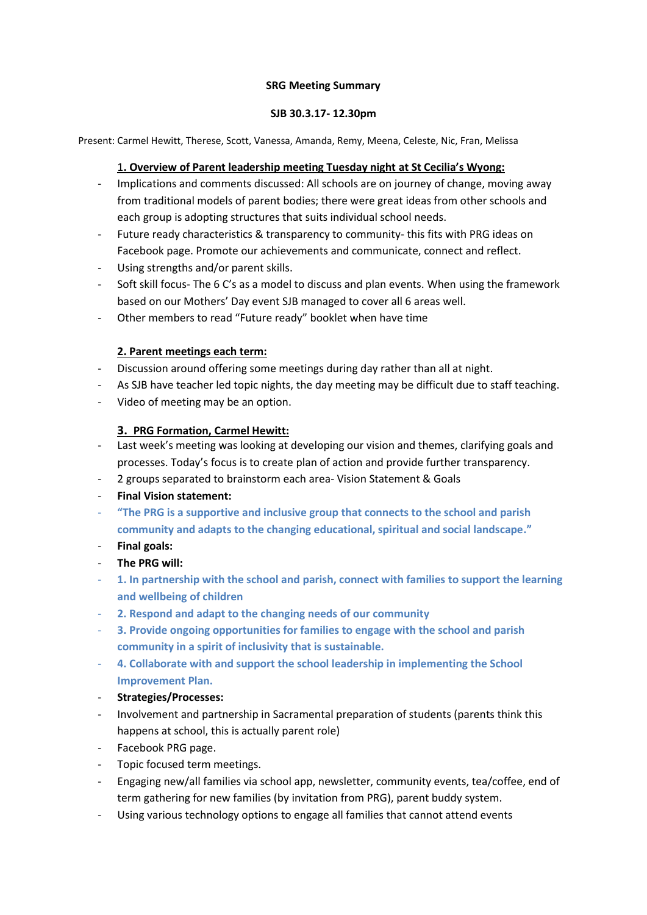### **SRG Meeting Summary**

### **SJB 30.3.17- 12.30pm**

Present: Carmel Hewitt, Therese, Scott, Vanessa, Amanda, Remy, Meena, Celeste, Nic, Fran, Melissa

# 1**. Overview of Parent leadership meeting Tuesday night at St Cecilia's Wyong:**

- Implications and comments discussed: All schools are on journey of change, moving away from traditional models of parent bodies; there were great ideas from other schools and each group is adopting structures that suits individual school needs.
- Future ready characteristics & transparency to community- this fits with PRG ideas on Facebook page. Promote our achievements and communicate, connect and reflect.
- Using strengths and/or parent skills.
- Soft skill focus- The 6 C's as a model to discuss and plan events. When using the framework based on our Mothers' Day event SJB managed to cover all 6 areas well.
- Other members to read "Future ready" booklet when have time

# **2. Parent meetings each term:**

- Discussion around offering some meetings during day rather than all at night.
- As SJB have teacher led topic nights, the day meeting may be difficult due to staff teaching.
- Video of meeting may be an option.

# **3. PRG Formation, Carmel Hewitt:**

- Last week's meeting was looking at developing our vision and themes, clarifying goals and processes. Today's focus is to create plan of action and provide further transparency.
- 2 groups separated to brainstorm each area- Vision Statement & Goals
- **Final Vision statement:**
- **"The PRG is a supportive and inclusive group that connects to the school and parish community and adapts to the changing educational, spiritual and social landscape."**
- **Final goals:**
- **The PRG will:**
- **1. In partnership with the school and parish, connect with families to support the learning and wellbeing of children**
- **2. Respond and adapt to the changing needs of our community**
- **3. Provide ongoing opportunities for families to engage with the school and parish community in a spirit of inclusivity that is sustainable.**
- **4. Collaborate with and support the school leadership in implementing the School Improvement Plan.**
- **Strategies/Processes:**
- Involvement and partnership in Sacramental preparation of students (parents think this happens at school, this is actually parent role)
- Facebook PRG page.
- Topic focused term meetings.
- Engaging new/all families via school app, newsletter, community events, tea/coffee, end of term gathering for new families (by invitation from PRG), parent buddy system.
- Using various technology options to engage all families that cannot attend events